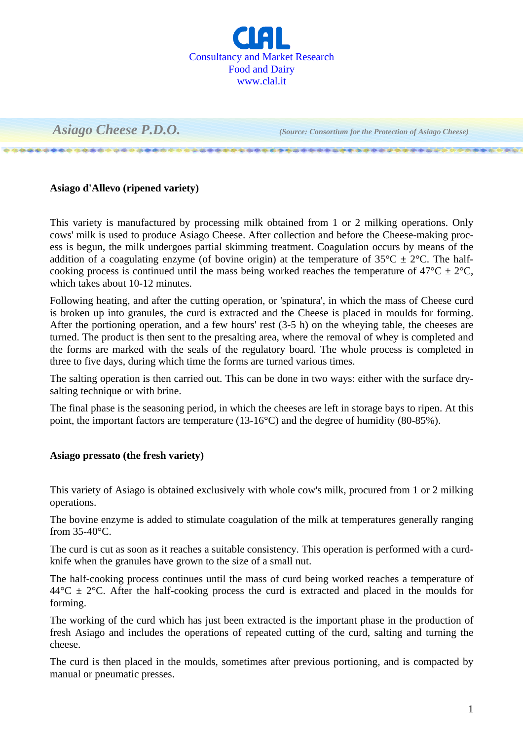

\*\*\*\*\*\*\*\*\*\*\*\*\*\*\*\*\*\*\*\*\*\*\*\*\*\*\*\*\*\*\*\*\*\*\*\*\*

 *Asiago Cheese P.D.O. (Source: Consortium for the Protection of Asiago Cheese)*

## **Asiago d'Allevo (ripened variety)**

This variety is manufactured by processing milk obtained from 1 or 2 milking operations. Only cows' milk is used to produce Asiago Cheese. After collection and before the Cheese-making process is begun, the milk undergoes partial skimming treatment. Coagulation occurs by means of the addition of a coagulating enzyme (of bovine origin) at the temperature of  $35^{\circ}C \pm 2^{\circ}C$ . The halfcooking process is continued until the mass being worked reaches the temperature of  $47^{\circ}C \pm 2^{\circ}C$ , which takes about 10-12 minutes.

Following heating, and after the cutting operation, or 'spinatura', in which the mass of Cheese curd is broken up into granules, the curd is extracted and the Cheese is placed in moulds for forming. After the portioning operation, and a few hours' rest (3-5 h) on the wheying table, the cheeses are turned. The product is then sent to the presalting area, where the removal of whey is completed and the forms are marked with the seals of the regulatory board. The whole process is completed in three to five days, during which time the forms are turned various times.

The salting operation is then carried out. This can be done in two ways: either with the surface drysalting technique or with brine.

The final phase is the seasoning period, in which the cheeses are left in storage bays to ripen. At this point, the important factors are temperature (13-16°C) and the degree of humidity (80-85%).

## **Asiago pressato (the fresh variety)**

This variety of Asiago is obtained exclusively with whole cow's milk, procured from 1 or 2 milking operations.

The bovine enzyme is added to stimulate coagulation of the milk at temperatures generally ranging from 35-40°C.

The curd is cut as soon as it reaches a suitable consistency. This operation is performed with a curdknife when the granules have grown to the size of a small nut.

The half-cooking process continues until the mass of curd being worked reaches a temperature of  $44^{\circ}$ C  $\pm$  2°C. After the half-cooking process the curd is extracted and placed in the moulds for forming.

The working of the curd which has just been extracted is the important phase in the production of fresh Asiago and includes the operations of repeated cutting of the curd, salting and turning the cheese.

The curd is then placed in the moulds, sometimes after previous portioning, and is compacted by manual or pneumatic presses.